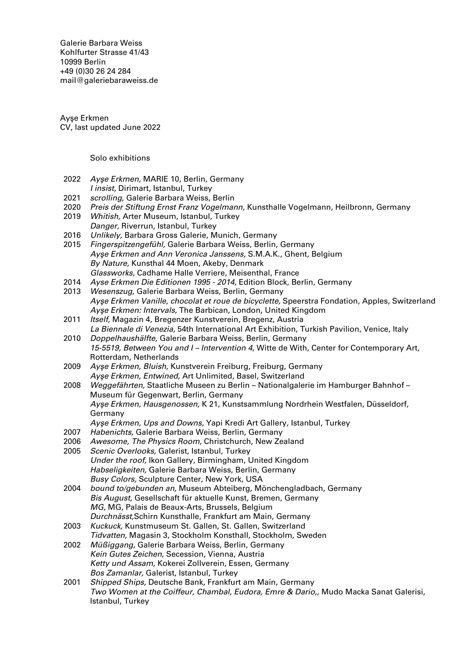Galerie Barbara Weiss [Kohlfurter Strasse 41/43](https://goo.gl/maps/ZQcePopa6uu3a3k19) [10999 Berlin](https://goo.gl/maps/ZQcePopa6uu3a3k19) +49 (0)30 26 24 284 [mail@galeriebaraweiss.de](mailto:mail@galeriebarbaraweiss.de)

Ayşe Erkmen CV, last updated June 2022

Solo exhibitions

- 2022 Ayşe Erkmen, MARIE 10, Berlin, Germany I insist, Dirimart, Istanbul, Turkey
- 2021 scrolling, Galerie Barbara Weiss, Berlin
- 2020 Preis der Stiftung Ernst Franz Vogelmann, Kunsthalle Vogelmann, Heilbronn, Germany
- 2019 Whitish, Arter Museum, Istanbul, Turkey Danger, Riverrun, Istanbul, Turkey
- 2016 Unlikely, Barbara Gross Galerie, Munich, Germany
- 2015 Fingerspitzengefühl, Galerie Barbara Weiss, Berlin, Germany Ayşe Erkmen and Ann Veronica Janssens, S.M.A.K., Ghent, Belgium By Nature, Kunsthal 44 Moen, Akeby, Denmark Glassworks, Cadhame Halle Verriere, Meisenthal, France
- 2014 Ayse Erkmen Die Editionen 1995 2014, Edition Block, Berlin, Germany
- 2013 Wesenszug, Galerie Barbara Weiss, Berlin, Germany Ayşe Erkmen Vanille, chocolat et roue de bicyclette, Speerstra Fondation, Apples, Switzerland Ayşe Erkmen: Intervals, The Barbican, London, United Kingdom
- 2011 Itself, Magazin 4, Bregenzer Kunstverein, Bregenz, Austria La Biennale di Venezia, 54th International Art Exhibition, Turkish Pavilion, Venice, Italy
- 2010 Doppelhaushälfte, Galerie Barbara Weiss, Berlin, Germany 15-5519, Between You and I – Intervention 4, Witte de With, Center for Contemporary Art, Rotterdam, Netherlands
- 2009 Ayşe Erkmen, Bluish, Kunstverein Freiburg, Freiburg, Germany Ayşe Erkmen, Entwined, Art Unlimited, Basel, Switzerland
- 2008 Weggefährten, Staatliche Museen zu Berlin Nationalgalerie im Hamburger Bahnhof Museum für Gegenwart, Berlin, Germany Ayşe Erkmen, Hausgenossen, K 21, Kunstsammlung Nordrhein Westfalen, Düsseldorf, Germany
	- Ayşe Erkmen, Ups and Downs, Yapi Kredi Art Gallery, Istanbul, Turkey
- 2007 Habenichts, Galerie Barbara Weiss, Berlin, Germany<br>2006 Awesome, The Physics Room, Christchurch, New Ze
- 2006 Awesome, The Physics Room, Christchurch, New Zealand<br>2005 Scenic Overlooks, Galerist, Istanbul, Turkey
- Scenic Overlooks, Galerist, Istanbul, Turkey Under the roof, Ikon Gallery, Birmingham, United Kingdom Habseligkeiten, Galerie Barbara Weiss, Berlin, Germany Busy Colors, Sculpture Center, New York, USA
- 2004 bound to/gebunden an, Museum Abteiberg, Mönchengladbach, Germany Bis August, Gesellschaft für aktuelle Kunst, Bremen, Germany MG, MG, Palais de Beaux-Arts, Brussels, Belgium Durchnässt,Schirn Kunsthalle, Frankfurt am Main, Germany
- 2003 Kuckuck, Kunstmuseum St. Gallen, St. Gallen, Switzerland Tidvatten, Magasin 3, Stockholm Konsthall, Stockholm, Sweden
- 2002 Müßiggang, Galerie Barbara Weiss, Berlin, Germany Kein Gutes Zeichen, Secession, Vienna, Austria Ketty und Assam, Kokerei Zollverein, Essen, Germany Bos Zamanlar, Galerist, Istanbul, Turkey
- 2001 Shipped Ships, Deutsche Bank, Frankfurt am Main, Germany Two Women at the Coiffeur, Chambal, Eudora, Emre & Dario,, Mudo Macka Sanat Galerisi, Istanbul, Turkey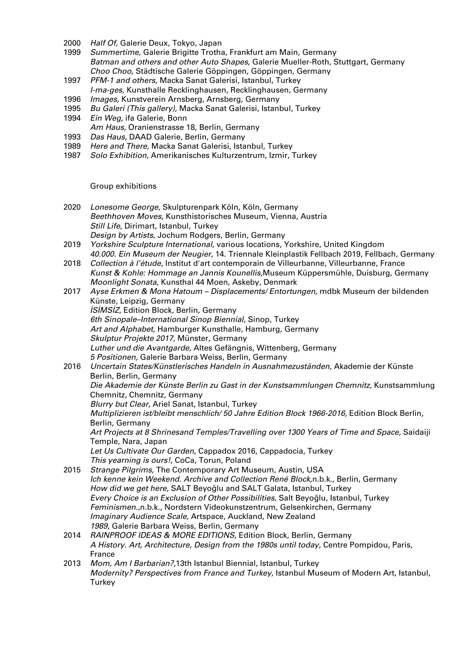- 2000 Half Of, Galerie Deux, Tokyo, Japan
- 1999 Summertime, Galerie Brigitte Trotha, Frankfurt am Main, Germany Batman and others and other Auto Shapes, Galerie Mueller-Roth, Stuttgart, Germany Choo Choo, Städtische Galerie Göppingen, Göppingen, Germany
- 1997 PFM-1 and others, Macka Sanat Galerisi, Istanbul, Turkey I-ma-ges, Kunsthalle Recklinghausen, Recklinghausen, Germany
- 1996 Images, Kunstverein Arnsberg, Arnsberg, Germany
- 1995 Bu Galeri (This gallery), Macka Sanat Galerisi, Istanbul, Turkey
- 1994 Ein Weg, ifa Galerie, Bonn
- Am Haus, Oranienstrasse 18, Berlin, Germany
- 1993 Das Haus, DAAD Galerie, Berlin, Germany
- 1989 Here and There, Macka Sanat Galerisi, Istanbul, Turkey
- 1987 Solo Exhibition, Amerikanisches Kulturzentrum, Izmir, Turkey

Group exhibitions

- 2020 Lonesome George, Skulpturenpark Köln, Köln, Germany Beethhoven Moves, Kunsthistorisches Museum, Vienna, Austria Still Life, Dirimart, Istanbul, Turkey Design by Artists, Jochum Rodgers, Berlin, Germany
- 2019 *Yorkshire Sculpture International, various locations, Yorkshire, United Kingdom* 40.000. Ein Museum der Neugier, 14. Triennale Kleinplastik Fellbach 2019, Fellbach, Germany
- 2018 Collection à l'étude, Institut d'art contemporain de Villeurbanne, Villeurbanne, France Kunst & Kohle: Hommage an Jannis Kounellis,Museum Küppersmühle, Duisburg, Germany Moonlight Sonata, Kunsthal 44 Moen, Askeby, Denmark
- 2017 Ayse Erkmen & Mona Hatoum Displacements/ Entortungen, mdbk Museum der bildenden Künste, Leipzig, Germany İSİMSİZ, Edition Block, Berlin, Germany 6th Sinopale–International Sinop Biennial, Sinop, Turkey Art and Alphabet, Hamburger Kunsthalle, Hamburg, Germany Skulptur Projekte 2017, Münster, Germany Luther und die Avantgarde, Altes Gefängnis, Wittenberg, Germany 5 Positionen, Galerie Barbara Weiss, Berlin, Germany
- 2016 Uncertain States/Künstlerisches Handeln in Ausnahmezuständen, Akademie der Künste Berlin, Berlin, Germany Die Akademie der Künste Berlin zu Gast in der Kunstsammlungen Chemnitz, Kunstsammlung Chemnitz, Chemnitz, Germany Blurry but Clear, Ariel Sanat, Istanbul, Turkey Multiplizieren ist/bleibt menschlich/ 50 Jahre Edition Block 1966-2016, Edition Block Berlin, Berlin, Germany Art Projects at 8 Shrinesand Temples/Travelling over 1300 Years of Time and Space, Saidaiji Temple, Nara, Japan Let Us Cultivate Our Garden, Cappadox 2016, Cappadocia, Turkey This yearning is ours!, CoCa, Torun, Poland 2015 Strange Pilgrims, The Contemporary Art Museum, Austin, USA Ich kenne kein Weekend. Archive and Collection René Block,n.b.k., Berlin, Germany
- How did we get here, SALT Beyoğlu and SALT Galata, Istanbul, Turkey Every Choice is an Exclusion of Other Possibilities, Salt Beyoğlu, Istanbul, Turkey Feminismen.,n.b.k., Nordstern Videokunstzentrum, Gelsenkirchen, Germany Imaginary Audience Scale, Artspace, Auckland, New Zealand 1989, Galerie Barbara Weiss, Berlin, Germany
- 2014 RAINPROOF IDEAS & MORE EDITIONS, Edition Block, Berlin, Germany A History. Art, Architecture, Design from the 1980s until today, Centre Pompidou, Paris, France
- 2013 Mom, Am I Barbarian?,13th Istanbul Biennial, Istanbul, Turkey Modernity? Perspectives from France and Turkey, Istanbul Museum of Modern Art, Istanbul, **Turkey**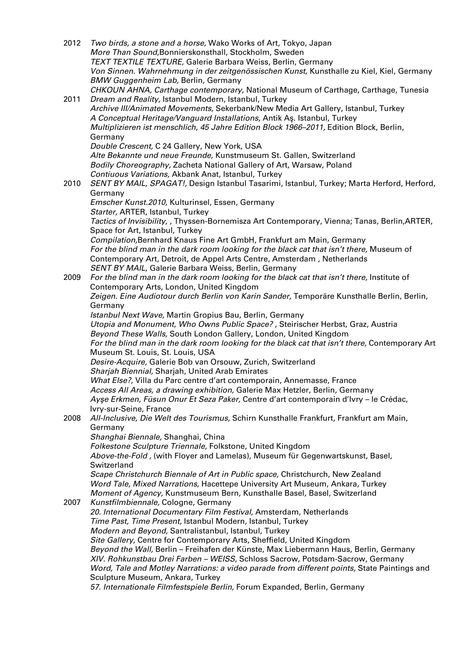2012 Two birds, a stone and a horse, Wako Works of Art, Tokyo, Japan More Than Sound,Bonnierskonsthall, Stockholm, Sweden TEXT TEXTILE TEXTURE, Galerie Barbara Weiss, Berlin, Germany Von Sinnen. Wahrnehmung in der zeitgenössischen Kunst, Kunsthalle zu Kiel, Kiel, Germany BMW Guggenheim Lab, Berlin, Germany CHKOUN AHNA, Carthage contemporary, National Museum of Carthage, Carthage, Tunesia 2011 Dream and Reality, Istanbul Modern, Istanbul, Turkey Archive III/Animated Movements, Sekerbank/New Media Art Gallery, Istanbul, Turkey A Conceptual Heritage/Vanguard Installations, Antik Aş. Istanbul, Turkey Multiplizieren ist menschlich, 45 Jahre Edition Block 1966–2011, Edition Block, Berlin, Germany Double Crescent, C 24 Gallery, New York, USA Alte Bekannte und neue Freunde, Kunstmuseum St. Gallen, Switzerland Bodily Choreography, Zacheta National Gallery of Art, Warsaw, Poland Contiuous Variations, Akbank Anat, Istanbul, Turkey 2010 SENT BY MAIL, SPAGAT!, Design Istanbul Tasarimi, Istanbul, Turkey; Marta Herford, Herford, Germany Emscher Kunst.2010, Kulturinsel, Essen, Germany Starter, ARTER, Istanbul, Turkey Tactics of Invisibility, , Thyssen-Bornemisza Art Contemporary, Vienna; Tanas, Berlin,ARTER, Space for Art, Istanbul, Turkey Compilation,Bernhard Knaus Fine Art GmbH, Frankfurt am Main, Germany For the blind man in the dark room looking for the black cat that isn't there, Museum of Contemporary Art, Detroit, de Appel Arts Centre, Amsterdam , Netherlands SENT BY MAIL, Galerie Barbara Weiss, Berlin, Germany 2009 For the blind man in the dark room looking for the black cat that isn't there, Institute of Contemporary Arts, London, United Kingdom Zeigen. Eine Audiotour durch Berlin von Karin Sander, Temporäre Kunsthalle Berlin, Berlin, Germany Istanbul Next Wave, Martin Gropius Bau, Berlin, Germany Utopia and Monument, Who Owns Public Space? , Steirischer Herbst, Graz, Austria Beyond These Walls, South London Gallery, London, United Kingdom For the blind man in the dark room looking for the black cat that isn't there, Contemporary Art Museum St. Louis, St. Louis, USA Desire-Acquire, Galerie Bob van Orsouw, Zurich, Switzerland Sharjah Biennial, Sharjah, United Arab Emirates What Else?, Villa du Parc centre d'art contemporain, Annemasse, France Access All Areas, a drawing exhibition, Galerie Max Hetzler, Berlin, Germany Ayşe Erkmen, Füsun Onur Et Seza Paker, Centre d'art contemporain d'Ivry – le Crédac, Ivry-sur-Seine, France 2008 All-Inclusive, Die Welt des Tourismus, Schirn Kunsthalle Frankfurt, Frankfurt am Main, Germany Shanghai Biennale, Shanghai, China Folkestone Sculpture Triennale, Folkstone, United Kingdom Above-the-Fold , (with Floyer and Lamelas), Museum für Gegenwartskunst, Basel, Switzerland Scape Christchurch Biennale of Art in Public space, Christchurch, New Zealand Word Tale, Mixed Narrations, Hacettepe University Art Museum, Ankara, Turkey Moment of Agency, Kunstmuseum Bern, Kunsthalle Basel, Basel, Switzerland 2007 Kunstfilmbiennale, Cologne, Germany 20. International Documentary Film Festival, Amsterdam, Netherlands Time Past, Time Present, Istanbul Modern, Istanbul, Turkey Modern and Beyond, Santralistanbul, Istanbul, Turkey Site Gallery, Centre for Contemporary Arts, Sheffield, United Kingdom Beyond the Wall, Berlin – Freihafen der Künste, Max Liebermann Haus, Berlin, Germany XIV. Rohkunstbau Drei Farben – WEISS, Schloss Sacrow, Potsdam-Sacrow, Germany Word, Tale and Motley Narrations: a video parade from different points, State Paintings and Sculpture Museum, Ankara, Turkey 57. Internationale Filmfestspiele Berlin, Forum Expanded, Berlin, Germany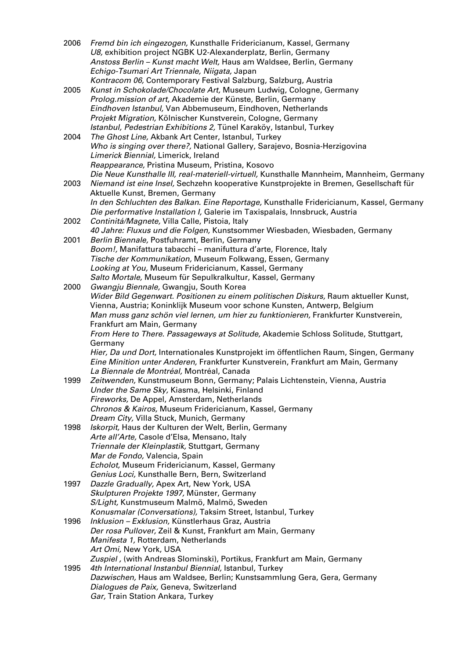| 2006 | Fremd bin ich eingezogen, Kunsthalle Fridericianum, Kassel, Germany<br>U8, exhibition project NGBK U2-Alexanderplatz, Berlin, Germany<br>Anstoss Berlin - Kunst macht Welt, Haus am Waldsee, Berlin, Germany<br>Echigo-Tsumari Art Triennale, Niigata, Japan                                                                      |
|------|-----------------------------------------------------------------------------------------------------------------------------------------------------------------------------------------------------------------------------------------------------------------------------------------------------------------------------------|
| 2005 | Kontracom 06, Contemporary Festival Salzburg, Salzburg, Austria<br>Kunst in Schokolade/Chocolate Art, Museum Ludwig, Cologne, Germany<br>Prolog.mission of art, Akademie der Künste, Berlin, Germany<br>Eindhoven Istanbul, Van Abbemuseum, Eindhoven, Netherlands<br>Projekt Migration, Kölnischer Kunstverein, Cologne, Germany |
| 2004 | Istanbul, Pedestrian Exhibitions 2, Tünel Karaköy, Istanbul, Turkey<br>The Ghost Line, Akbank Art Center, Istanbul, Turkey<br>Who is singing over there?, National Gallery, Sarajevo, Bosnia-Herzigovina<br>Limerick Biennial, Limerick, Ireland                                                                                  |
|      | Reappearance, Pristina Museum, Pristina, Kosovo<br>Die Neue Kunsthalle III, real-materiell-virtuell, Kunsthalle Mannheim, Mannheim, Germany                                                                                                                                                                                       |
| 2003 | Niemand ist eine Insel, Sechzehn kooperative Kunstprojekte in Bremen, Gesellschaft für<br>Aktuelle Kunst, Bremen, Germany<br>In den Schluchten des Balkan. Eine Reportage, Kunsthalle Fridericianum, Kassel, Germany                                                                                                              |
| 2002 | Die performative Installation I, Galerie im Taxispalais, Innsbruck, Austria<br>Continitá/Magnete, Villa Calle, Pistoia, Italy                                                                                                                                                                                                     |
| 2001 | 40 Jahre: Fluxus und die Folgen, Kunstsommer Wiesbaden, Wiesbaden, Germany<br>Berlin Biennale, Postfuhramt, Berlin, Germany                                                                                                                                                                                                       |
|      | Boom!, Manifattura tabacchi - manifuttura d'arte, Florence, Italy<br>Tische der Kommunikation, Museum Folkwang, Essen, Germany<br>Looking at You, Museum Fridericianum, Kassel, Germany                                                                                                                                           |
| 2000 | Salto Mortale, Museum für Sepulkralkultur, Kassel, Germany<br>Gwangju Biennale, Gwangju, South Korea<br>Wider Bild Gegenwart. Positionen zu einem politischen Diskurs, Raum aktueller Kunst,<br>Vienna, Austria; Koninklijk Museum voor schone Kunsten, Antwerp, Belgium                                                          |
|      | Man muss ganz schön viel lernen, um hier zu funktionieren, Frankfurter Kunstverein,<br>Frankfurt am Main, Germany                                                                                                                                                                                                                 |
|      | From Here to There. Passageways at Solitude, Akademie Schloss Solitude, Stuttgart,<br>Germany                                                                                                                                                                                                                                     |
|      | Hier, Da und Dort, Internationales Kunstprojekt im öffentlichen Raum, Singen, Germany<br>Eine Minition unter Anderen, Frankfurter Kunstverein, Frankfurt am Main, Germany<br>La Biennale de Montréal, Montréal, Canada                                                                                                            |
| 1999 | Zeitwenden, Kunstmuseum Bonn, Germany; Palais Lichtenstein, Vienna, Austria<br>Under the Same Sky, Kiasma, Helsinki, Finland<br>Fireworks, De Appel, Amsterdam, Netherlands                                                                                                                                                       |
|      | Chronos & Kairos, Museum Fridericianum, Kassel, Germany<br>Dream City, Villa Stuck, Munich, Germany                                                                                                                                                                                                                               |
| 1998 | Iskorpit, Haus der Kulturen der Welt, Berlin, Germany                                                                                                                                                                                                                                                                             |
|      | Arte all'Arte, Casole d'Elsa, Mensano, Italy<br>Triennale der Kleinplastik, Stuttgart, Germany                                                                                                                                                                                                                                    |
|      | Mar de Fondo, Valencia, Spain<br>Echolot, Museum Fridericianum, Kassel, Germany                                                                                                                                                                                                                                                   |
|      | Genius Loci, Kunsthalle Bern, Bern, Switzerland                                                                                                                                                                                                                                                                                   |
| 1997 | Dazzle Gradually, Apex Art, New York, USA<br>Skulpturen Projekte 1997, Münster, Germany                                                                                                                                                                                                                                           |
|      | S/Light, Kunstmuseum Malmö, Malmö, Sweden<br>Konusmalar (Conversations), Taksim Street, Istanbul, Turkey                                                                                                                                                                                                                          |
| 1996 | Inklusion - Exklusion, Künstlerhaus Graz, Austria<br>Der rosa Pullover, Zeil & Kunst, Frankfurt am Main, Germany                                                                                                                                                                                                                  |
|      | Manifesta 1, Rotterdam, Netherlands<br>Art Omi, New York, USA                                                                                                                                                                                                                                                                     |
| 1995 | Zuspiel, (with Andreas Slominski), Portikus, Frankfurt am Main, Germany<br>4th International Instanbul Biennial, Istanbul, Turkey                                                                                                                                                                                                 |
|      | Dazwischen, Haus am Waldsee, Berlin; Kunstsammlung Gera, Gera, Germany<br>Dialogues de Paix, Geneva, Switzerland                                                                                                                                                                                                                  |
|      | Gar, Train Station Ankara, Turkey                                                                                                                                                                                                                                                                                                 |